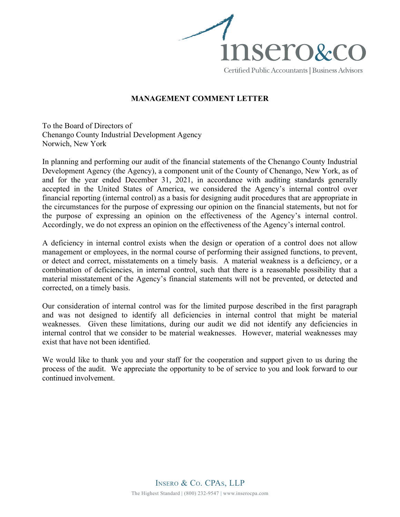

## **MANAGEMENT COMMENT LETTER**

To the Board of Directors of Chenango County Industrial Development Agency Norwich, New York

In planning and performing our audit of the financial statements of the Chenango County Industrial Development Agency (the Agency), a component unit of the County of Chenango, New York, as of and for the year ended December 31, 2021, in accordance with auditing standards generally accepted in the United States of America, we considered the Agency's internal control over financial reporting (internal control) as a basis for designing audit procedures that are appropriate in the circumstances for the purpose of expressing our opinion on the financial statements, but not for the purpose of expressing an opinion on the effectiveness of the Agency's internal control. Accordingly, we do not express an opinion on the effectiveness of the Agency's internal control.

A deficiency in internal control exists when the design or operation of a control does not allow management or employees, in the normal course of performing their assigned functions, to prevent, or detect and correct, misstatements on a timely basis. A material weakness is a deficiency, or a combination of deficiencies, in internal control, such that there is a reasonable possibility that a material misstatement of the Agency's financial statements will not be prevented, or detected and corrected, on a timely basis.

Our consideration of internal control was for the limited purpose described in the first paragraph and was not designed to identify all deficiencies in internal control that might be material weaknesses. Given these limitations, during our audit we did not identify any deficiencies in internal control that we consider to be material weaknesses. However, material weaknesses may exist that have not been identified.

We would like to thank you and your staff for the cooperation and support given to us during the process of the audit. We appreciate the opportunity to be of service to you and look forward to our continued involvement.